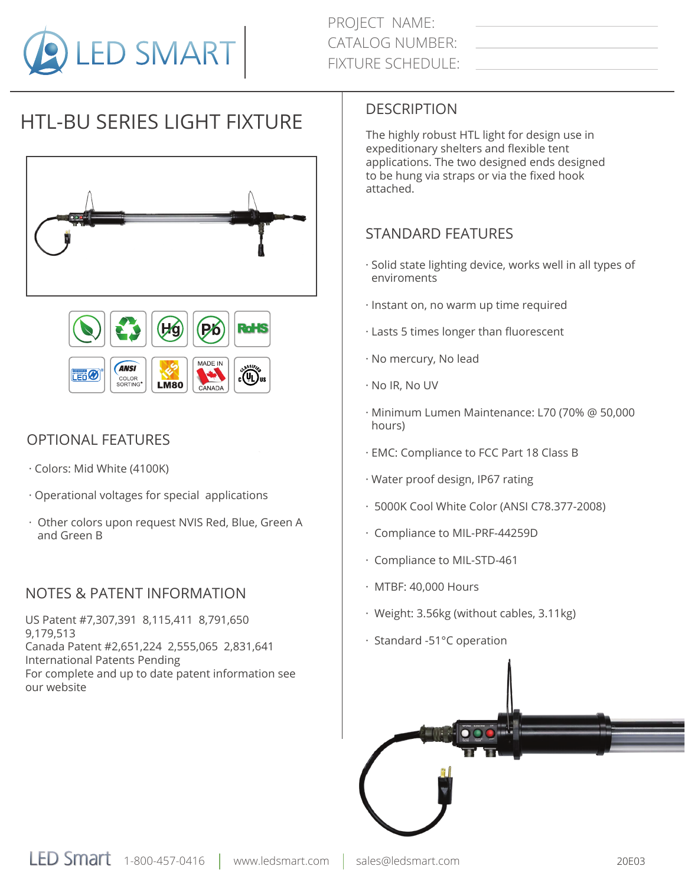

# HTL-BU SERIES LIGHT FIXTURE





## OPTIONAL FEATURES

- · Colors: Mid White (4100K)
- · Operational voltages for special applications
- · Other colors upon request NVIS Red, Blue, Green A and Green B

## NOTES & PATENT INFORMATION

US Patent #7,307,391 8,115,411 8,791,650 9,179,513 Canada Patent #2,651,224 2,555,065 2,831,641 International Patents Pending For complete and up to date patent information see our website

## DESCRIPTION

The highly robust HTL light for design use in expeditionary shelters and flexible tent applications. The two designed ends designed to be hung via straps or via the fixed hook attached.

# STANDARD FEATURES

- · Solid state lighting device, works well in all types of enviroments
- · Instant on, no warm up time required
- · Lasts 5 times longer than fluorescent
- · No mercury, No lead
- · No IR, No UV
- · Minimum Lumen Maintenance: L70 (70% @ 50,000 hours)
- · EMC: Compliance to FCC Part 18 Class B
- · Water proof design, IP67 rating
- · 5000K Cool White Color (ANSI C78.377-2008)
- · Compliance to MIL-PRF-44259D
- · Compliance to MIL-STD-461
- · MTBF: 40,000 Hours
- · Weight: 3.56kg (without cables, 3.11kg)
- · Standard -51°C operation